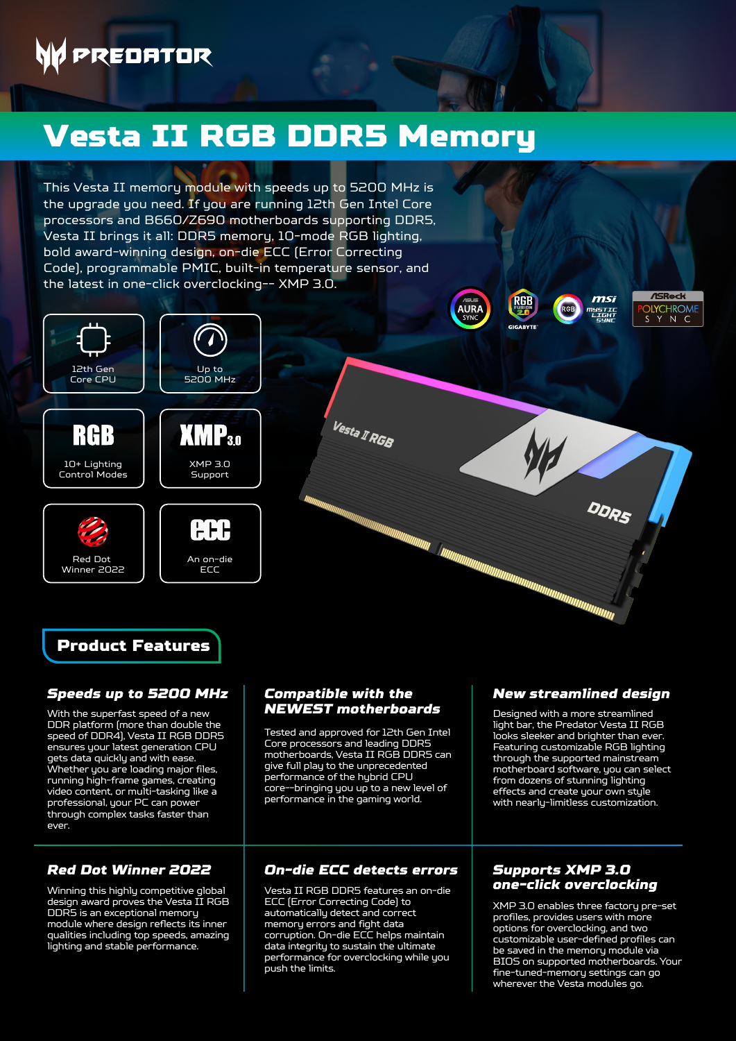# **PREDATOR**

## Vesta II RGB DDR5 Memory

This Vesta II memory module with speeds up to 5200 MHz is the upgrade you need. If you are running 12th Gen Intel Core processors and B660/Z690 motherboards supporting DDR5, Vesta II brings it all: DDR5 memory, 10-mode RGB lighting, bold award-winning design, on-die ECC (Error Correcting Code), programmable PMIC, built-in temperature sensor, and the latest in one-click overclocking-- XMP 3.0.



10+ Lighting Control Modes

RGB

Red Dot Winner 2022



AAR An on-die **ECC** 





### *Speeds up to 5200 MHz*

With the superfast speed of a new DDR platform (more than double the speed of DDR4), Vesta II RGB DDR5 ensures your latest generation CPU gets data quickly and with ease. Whether you are loading major files, running high-frame games, creating video content, or multi-tasking like a professional, your PC can power through complex tasks faster than ever.

### *Red Dot Winner 2022*

Winning this highly competitive global design award proves the Vesta  $II$  RGB DDR5 is an exceptional memory module where design reflects its inner qualities including top speeds, amazing lighting and stable performance.

### *Compatible with the NEWEST motherboards*

Vesta I RGB

Tested and approved for 12th Gen Intel Core processors and leading DDR5 motherboards, Vesta II RGB DDR5 can give full play to the unprecedented performance of the hybrid CPU core--bringing you up to a new level of performance in the gaming world.

Vesta II RGB DDR5 features an on-die *one-click overclocking* ECC (Error Correcting Code) to automatically detect and correct memory errors and fight data corruption. On-die ECC helps maintain data integrity to sustain the ultimate performance for overclocking while you .<br>push the limits.

### *New streamlined design*

**ASRock** 

**ILYCHROME** 

 $ms$ 

mystii<br>Light<br>Sunr

DDRS

**RGB** 

**AURA** 

Designed with a more streamlined light bar, the Predator Vesta II RGB looks sleeker and brighter than ever. Featuring customizable RGB lighting through the supported mainstream motherboard software, you can select from dozens of stunning lighting effects and create your own style with nearly-limitless customization.

## *On-die ECC detects errors Supports XMP 3.0*

XMP 3.0 enables three factory pre-set profiles, provides users with more options for overclocking, and two customizable user-defined profiles can be saved in the memory module via BIOS on supported motherboards. Your fine-tuned-memory settings can go wherever the Vesta modules go.